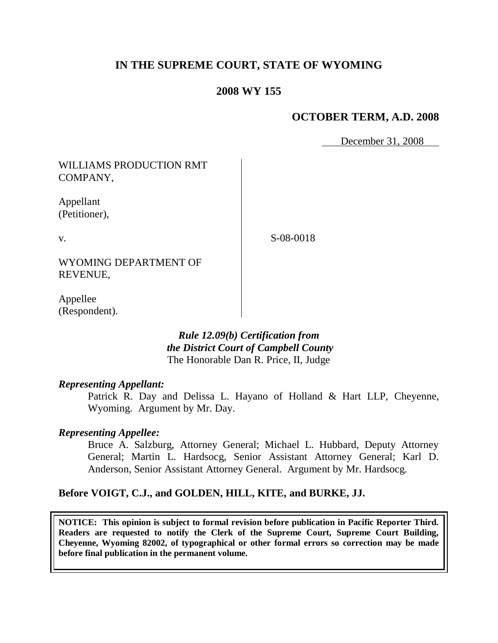# **IN THE SUPREME COURT, STATE OF WYOMING**

## **2008 WY 155**

## **OCTOBER TERM, A.D. 2008**

December 31, 2008

WILLIAMS PRODUCTION RMT COMPANY,

Appellant (Petitioner),

v.

S-08-0018

WYOMING DEPARTMENT OF REVENUE,

Appellee (Respondent).

> *Rule 12.09(b) Certification from the District Court of Campbell County* The Honorable Dan R. Price, II, Judge

#### *Representing Appellant:*

Patrick R. Day and Delissa L. Hayano of Holland & Hart LLP, Cheyenne, Wyoming. Argument by Mr. Day.

### *Representing Appellee:*

Bruce A. Salzburg, Attorney General; Michael L. Hubbard, Deputy Attorney General; Martin L. Hardsocg, Senior Assistant Attorney General; Karl D. Anderson, Senior Assistant Attorney General. Argument by Mr. Hardsocg.

### **Before VOIGT, C.J., and GOLDEN, HILL, KITE, and BURKE, JJ.**

**NOTICE: This opinion is subject to formal revision before publication in Pacific Reporter Third. Readers are requested to notify the Clerk of the Supreme Court, Supreme Court Building, Cheyenne, Wyoming 82002, of typographical or other formal errors so correction may be made before final publication in the permanent volume.**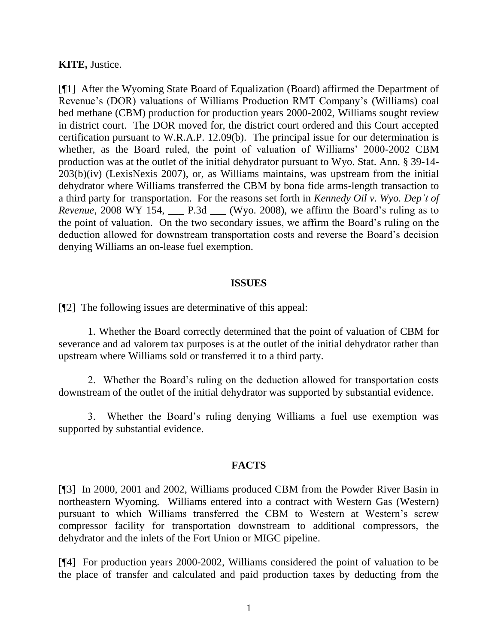### **KITE,** Justice.

[¶1] After the Wyoming State Board of Equalization (Board) affirmed the Department of Revenue's (DOR) valuations of Williams Production RMT Company's (Williams) coal bed methane (CBM) production for production years 2000-2002, Williams sought review in district court. The DOR moved for, the district court ordered and this Court accepted certification pursuant to W.R.A.P. 12.09(b). The principal issue for our determination is whether, as the Board ruled, the point of valuation of Williams' 2000-2002 CBM production was at the outlet of the initial dehydrator pursuant to Wyo. Stat. Ann. § 39-14- 203(b)(iv) (LexisNexis 2007), or, as Williams maintains, was upstream from the initial dehydrator where Williams transferred the CBM by bona fide arms-length transaction to a third party for transportation. For the reasons set forth in *Kennedy Oil v. Wyo. Dep't of Revenue*, 2008 WY 154, P.3d *(Wyo. 2008)*, we affirm the Board's ruling as to the point of valuation. On the two secondary issues, we affirm the Board's ruling on the deduction allowed for downstream transportation costs and reverse the Board's decision denying Williams an on-lease fuel exemption.

#### **ISSUES**

[¶2] The following issues are determinative of this appeal:

1. Whether the Board correctly determined that the point of valuation of CBM for severance and ad valorem tax purposes is at the outlet of the initial dehydrator rather than upstream where Williams sold or transferred it to a third party.

2. Whether the Board's ruling on the deduction allowed for transportation costs downstream of the outlet of the initial dehydrator was supported by substantial evidence.

3. Whether the Board's ruling denying Williams a fuel use exemption was supported by substantial evidence.

#### **FACTS**

[¶3] In 2000, 2001 and 2002, Williams produced CBM from the Powder River Basin in northeastern Wyoming. Williams entered into a contract with Western Gas (Western) pursuant to which Williams transferred the CBM to Western at Western's screw compressor facility for transportation downstream to additional compressors, the dehydrator and the inlets of the Fort Union or MIGC pipeline.

[¶4] For production years 2000-2002, Williams considered the point of valuation to be the place of transfer and calculated and paid production taxes by deducting from the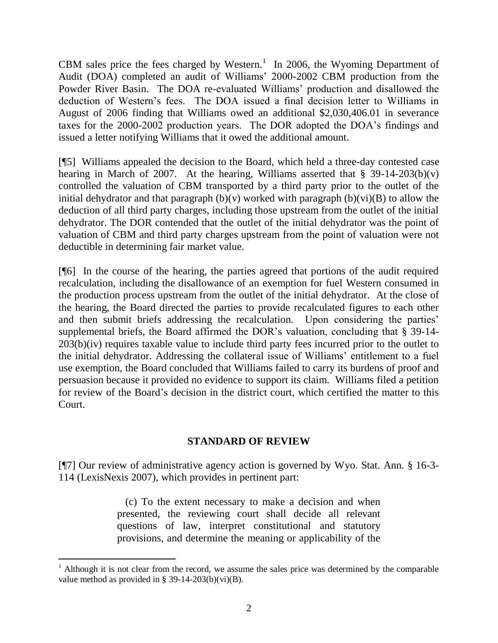CBM sales price the fees charged by Western.<sup>1</sup> In 2006, the Wyoming Department of Audit (DOA) completed an audit of Williams' 2000-2002 CBM production from the Powder River Basin. The DOA re-evaluated Williams' production and disallowed the deduction of Western's fees. The DOA issued a final decision letter to Williams in August of 2006 finding that Williams owed an additional \$2,030,406.01 in severance taxes for the 2000-2002 production years. The DOR adopted the DOA's findings and issued a letter notifying Williams that it owed the additional amount.

[¶5] Williams appealed the decision to the Board, which held a three-day contested case hearing in March of 2007. At the hearing, Williams asserted that  $\S$  39-14-203(b)(v) controlled the valuation of CBM transported by a third party prior to the outlet of the initial dehydrator and that paragraph  $(b)(v)$  worked with paragraph  $(b)(vi)(B)$  to allow the deduction of all third party charges, including those upstream from the outlet of the initial dehydrator. The DOR contended that the outlet of the initial dehydrator was the point of valuation of CBM and third party charges upstream from the point of valuation were not deductible in determining fair market value.

[¶6] In the course of the hearing, the parties agreed that portions of the audit required recalculation, including the disallowance of an exemption for fuel Western consumed in the production process upstream from the outlet of the initial dehydrator. At the close of the hearing, the Board directed the parties to provide recalculated figures to each other and then submit briefs addressing the recalculation. Upon considering the parties' supplemental briefs, the Board affirmed the DOR's valuation, concluding that § 39-14- 203(b)(iv) requires taxable value to include third party fees incurred prior to the outlet to the initial dehydrator. Addressing the collateral issue of Williams' entitlement to a fuel use exemption, the Board concluded that Williams failed to carry its burdens of proof and persuasion because it provided no evidence to support its claim. Williams filed a petition for review of the Board's decision in the district court, which certified the matter to this Court.

## **STANDARD OF REVIEW**

[¶7] Our review of administrative agency action is governed by Wyo. Stat. Ann. § 16-3- 114 (LexisNexis 2007), which provides in pertinent part:

> (c) To the extent necessary to make a decision and when presented, the reviewing court shall decide all relevant questions of law, interpret constitutional and statutory provisions, and determine the meaning or applicability of the

 $\overline{a}$ 

 $1$  Although it is not clear from the record, we assume the sales price was determined by the comparable value method as provided in § 39-14-203(b)(vi)(B).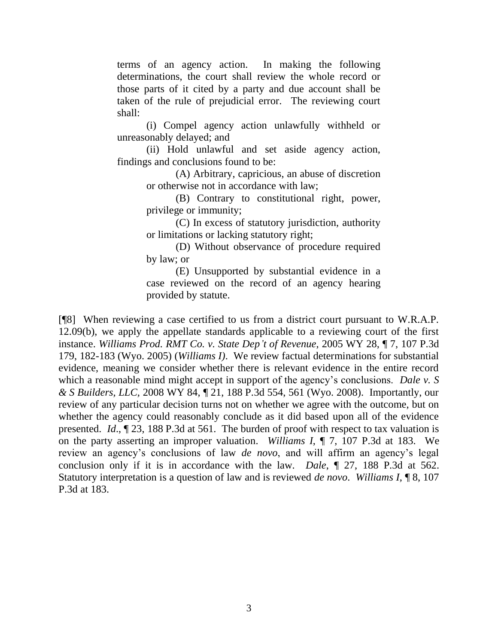terms of an agency action. In making the following determinations, the court shall review the whole record or those parts of it cited by a party and due account shall be taken of the rule of prejudicial error. The reviewing court shall:

(i) Compel agency action unlawfully withheld or unreasonably delayed; and

(ii) Hold unlawful and set aside agency action, findings and conclusions found to be:

(A) Arbitrary, capricious, an abuse of discretion or otherwise not in accordance with law;

(B) Contrary to constitutional right, power, privilege or immunity;

(C) In excess of statutory jurisdiction, authority or limitations or lacking statutory right;

(D) Without observance of procedure required by law; or

(E) Unsupported by substantial evidence in a case reviewed on the record of an agency hearing provided by statute.

[¶8] When reviewing a case certified to us from a district court pursuant to W.R.A.P. 12.09(b), we apply the appellate standards applicable to a reviewing court of the first instance. *Williams Prod. RMT Co. v. State Dep't of Revenue*, 2005 WY 28, ¶ 7, 107 P.3d 179, 182-183 (Wyo. 2005) (*Williams I)*. We review factual determinations for substantial evidence, meaning we consider whether there is relevant evidence in the entire record which a reasonable mind might accept in support of the agency's conclusions. *Dale v. S & S Builders, LLC,* 2008 WY 84, ¶ 21, 188 P.3d 554, 561 (Wyo. 2008). Importantly, our review of any particular decision turns not on whether we agree with the outcome, but on whether the agency could reasonably conclude as it did based upon all of the evidence presented. *Id*., ¶ 23, 188 P.3d at 561. The burden of proof with respect to tax valuation is on the party asserting an improper valuation. *Williams I*, ¶ 7, 107 P.3d at 183. We review an agency's conclusions of law *de novo*, and will affirm an agency's legal conclusion only if it is in accordance with the law. *Dale*, ¶ 27, 188 P.3d at 562. Statutory interpretation is a question of law and is reviewed *de novo*. *Williams I*, ¶ 8, 107 P.3d at 183.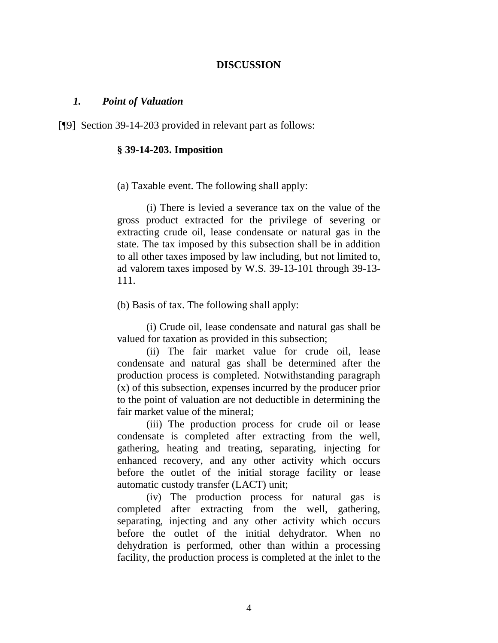#### **DISCUSSION**

#### *1. Point of Valuation*

[¶9] Section 39-14-203 provided in relevant part as follows:

#### **§ 39-14-203. Imposition**

(a) Taxable event. The following shall apply:

(i) There is levied a severance tax on the value of the gross product extracted for the privilege of severing or extracting crude oil, lease condensate or natural gas in the state. The tax imposed by this subsection shall be in addition to all other taxes imposed by law including, but not limited to, ad valorem taxes imposed by W.S. 39-13-101 through 39-13- 111.

(b) Basis of tax. The following shall apply:

(i) Crude oil, lease condensate and natural gas shall be valued for taxation as provided in this subsection;

(ii) The fair market value for crude oil, lease condensate and natural gas shall be determined after the production process is completed. Notwithstanding paragraph (x) of this subsection, expenses incurred by the producer prior to the point of valuation are not deductible in determining the fair market value of the mineral;

(iii) The production process for crude oil or lease condensate is completed after extracting from the well, gathering, heating and treating, separating, injecting for enhanced recovery, and any other activity which occurs before the outlet of the initial storage facility or lease automatic custody transfer (LACT) unit;

(iv) The production process for natural gas is completed after extracting from the well, gathering, separating, injecting and any other activity which occurs before the outlet of the initial dehydrator. When no dehydration is performed, other than within a processing facility, the production process is completed at the inlet to the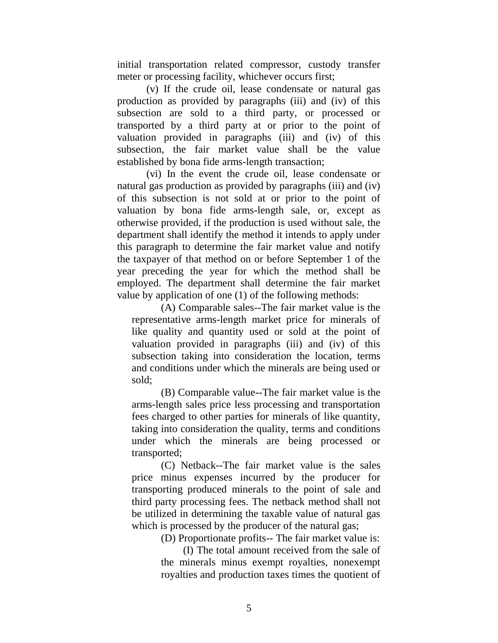initial transportation related compressor, custody transfer meter or processing facility, whichever occurs first;

(v) If the crude oil, lease condensate or natural gas production as provided by paragraphs (iii) and (iv) of this subsection are sold to a third party, or processed or transported by a third party at or prior to the point of valuation provided in paragraphs (iii) and (iv) of this subsection, the fair market value shall be the value established by bona fide arms-length transaction;

(vi) In the event the crude oil, lease condensate or natural gas production as provided by paragraphs (iii) and (iv) of this subsection is not sold at or prior to the point of valuation by bona fide arms-length sale, or, except as otherwise provided, if the production is used without sale, the department shall identify the method it intends to apply under this paragraph to determine the fair market value and notify the taxpayer of that method on or before September 1 of the year preceding the year for which the method shall be employed. The department shall determine the fair market value by application of one (1) of the following methods:

(A) Comparable sales--The fair market value is the representative arms-length market price for minerals of like quality and quantity used or sold at the point of valuation provided in paragraphs (iii) and (iv) of this subsection taking into consideration the location, terms and conditions under which the minerals are being used or sold;

(B) Comparable value--The fair market value is the arms-length sales price less processing and transportation fees charged to other parties for minerals of like quantity, taking into consideration the quality, terms and conditions under which the minerals are being processed or transported;

(C) Netback--The fair market value is the sales price minus expenses incurred by the producer for transporting produced minerals to the point of sale and third party processing fees. The netback method shall not be utilized in determining the taxable value of natural gas which is processed by the producer of the natural gas;

(D) Proportionate profits-- The fair market value is:

(I) The total amount received from the sale of the minerals minus exempt royalties, nonexempt royalties and production taxes times the quotient of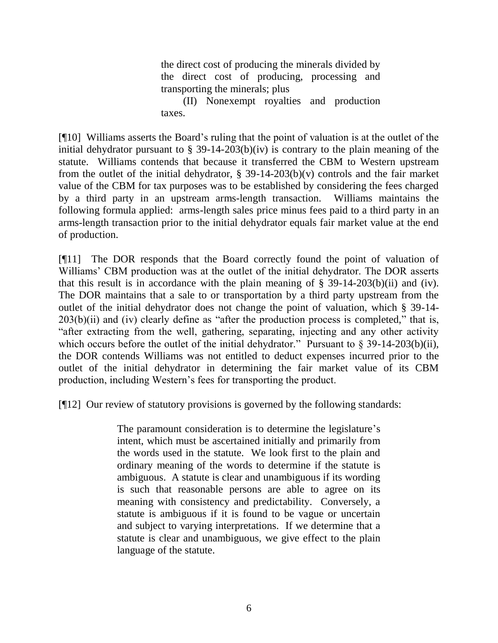the direct cost of producing the minerals divided by the direct cost of producing, processing and transporting the minerals; plus

(II) Nonexempt royalties and production taxes.

[¶10] Williams asserts the Board's ruling that the point of valuation is at the outlet of the initial dehydrator pursuant to  $\S$  39-14-203(b)(iv) is contrary to the plain meaning of the statute. Williams contends that because it transferred the CBM to Western upstream from the outlet of the initial dehydrator,  $\S$  39-14-203(b)(v) controls and the fair market value of the CBM for tax purposes was to be established by considering the fees charged by a third party in an upstream arms-length transaction. Williams maintains the following formula applied: arms-length sales price minus fees paid to a third party in an arms-length transaction prior to the initial dehydrator equals fair market value at the end of production.

[¶11] The DOR responds that the Board correctly found the point of valuation of Williams' CBM production was at the outlet of the initial dehydrator. The DOR asserts that this result is in accordance with the plain meaning of  $\S$  39-14-203(b)(ii) and (iv). The DOR maintains that a sale to or transportation by a third party upstream from the outlet of the initial dehydrator does not change the point of valuation, which § 39-14-  $203(b)(ii)$  and (iv) clearly define as "after the production process is completed," that is, "after extracting from the well, gathering, separating, injecting and any other activity which occurs before the outlet of the initial dehydrator." Pursuant to  $\S$  39-14-203(b)(ii), the DOR contends Williams was not entitled to deduct expenses incurred prior to the outlet of the initial dehydrator in determining the fair market value of its CBM production, including Western's fees for transporting the product.

[¶12] Our review of statutory provisions is governed by the following standards:

The paramount consideration is to determine the legislature's intent, which must be ascertained initially and primarily from the words used in the statute. We look first to the plain and ordinary meaning of the words to determine if the statute is ambiguous. A statute is clear and unambiguous if its wording is such that reasonable persons are able to agree on its meaning with consistency and predictability. Conversely, a statute is ambiguous if it is found to be vague or uncertain and subject to varying interpretations. If we determine that a statute is clear and unambiguous, we give effect to the plain language of the statute.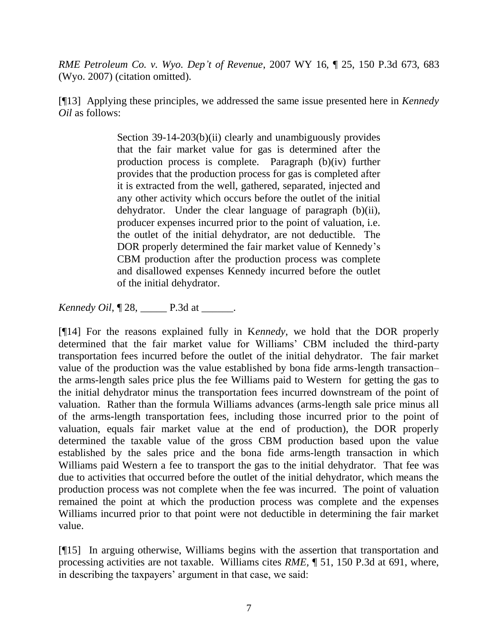*RME Petroleum Co. v. Wyo. Dep't of Revenue*, 2007 WY 16, ¶ 25, 150 P.3d 673, 683 (Wyo. 2007) (citation omitted).

[¶13] Applying these principles, we addressed the same issue presented here in *Kennedy Oil* as follows:

> Section 39-14-203(b)(ii) clearly and unambiguously provides that the fair market value for gas is determined after the production process is complete. Paragraph (b)(iv) further provides that the production process for gas is completed after it is extracted from the well, gathered, separated, injected and any other activity which occurs before the outlet of the initial dehydrator. Under the clear language of paragraph (b)(ii), producer expenses incurred prior to the point of valuation, i.e. the outlet of the initial dehydrator, are not deductible. The DOR properly determined the fair market value of Kennedy's CBM production after the production process was complete and disallowed expenses Kennedy incurred before the outlet of the initial dehydrator.

*Kennedy Oil*,  $[28, \_$  P.3d at \_\_\_\_\_.

[¶14] For the reasons explained fully in K*ennedy*, we hold that the DOR properly determined that the fair market value for Williams' CBM included the third-party transportation fees incurred before the outlet of the initial dehydrator. The fair market value of the production was the value established by bona fide arms-length transaction– the arms-length sales price plus the fee Williams paid to Western for getting the gas to the initial dehydrator minus the transportation fees incurred downstream of the point of valuation. Rather than the formula Williams advances (arms-length sale price minus all of the arms-length transportation fees, including those incurred prior to the point of valuation, equals fair market value at the end of production), the DOR properly determined the taxable value of the gross CBM production based upon the value established by the sales price and the bona fide arms-length transaction in which Williams paid Western a fee to transport the gas to the initial dehydrator. That fee was due to activities that occurred before the outlet of the initial dehydrator, which means the production process was not complete when the fee was incurred. The point of valuation remained the point at which the production process was complete and the expenses Williams incurred prior to that point were not deductible in determining the fair market value.

[¶15] In arguing otherwise, Williams begins with the assertion that transportation and processing activities are not taxable. Williams cites *RME,* ¶ 51, 150 P.3d at 691, where, in describing the taxpayers' argument in that case, we said: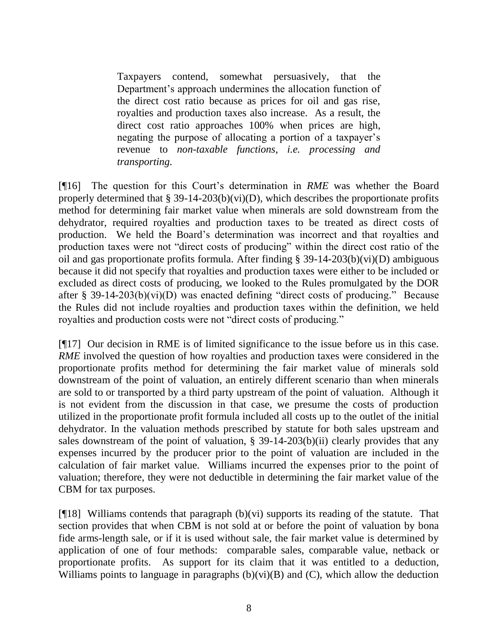Taxpayers contend, somewhat persuasively, that the Department's approach undermines the allocation function of the direct cost ratio because as prices for oil and gas rise, royalties and production taxes also increase. As a result, the direct cost ratio approaches 100% when prices are high, negating the purpose of allocating a portion of a taxpayer's revenue to *non-taxable functions, i.e. processing and transporting.* 

[¶16] The question for this Court's determination in *RME* was whether the Board properly determined that  $\S 39-14-203(b)(vi)(D)$ , which describes the proportionate profits method for determining fair market value when minerals are sold downstream from the dehydrator, required royalties and production taxes to be treated as direct costs of production. We held the Board's determination was incorrect and that royalties and production taxes were not "direct costs of producing" within the direct cost ratio of the oil and gas proportionate profits formula. After finding § 39-14-203(b)(vi)(D) ambiguous because it did not specify that royalties and production taxes were either to be included or excluded as direct costs of producing, we looked to the Rules promulgated by the DOR after § 39-14-203(b)(vi)(D) was enacted defining "direct costs of producing." Because the Rules did not include royalties and production taxes within the definition, we held royalties and production costs were not "direct costs of producing."

[¶17] Our decision in RME is of limited significance to the issue before us in this case. *RME* involved the question of how royalties and production taxes were considered in the proportionate profits method for determining the fair market value of minerals sold downstream of the point of valuation, an entirely different scenario than when minerals are sold to or transported by a third party upstream of the point of valuation. Although it is not evident from the discussion in that case, we presume the costs of production utilized in the proportionate profit formula included all costs up to the outlet of the initial dehydrator. In the valuation methods prescribed by statute for both sales upstream and sales downstream of the point of valuation,  $\S$  39-14-203(b)(ii) clearly provides that any expenses incurred by the producer prior to the point of valuation are included in the calculation of fair market value. Williams incurred the expenses prior to the point of valuation; therefore, they were not deductible in determining the fair market value of the CBM for tax purposes.

[ $[$ [18] Williams contends that paragraph (b)(vi) supports its reading of the statute. That section provides that when CBM is not sold at or before the point of valuation by bona fide arms-length sale, or if it is used without sale, the fair market value is determined by application of one of four methods: comparable sales, comparable value, netback or proportionate profits. As support for its claim that it was entitled to a deduction, Williams points to language in paragraphs  $(b)(vi)(B)$  and  $(C)$ , which allow the deduction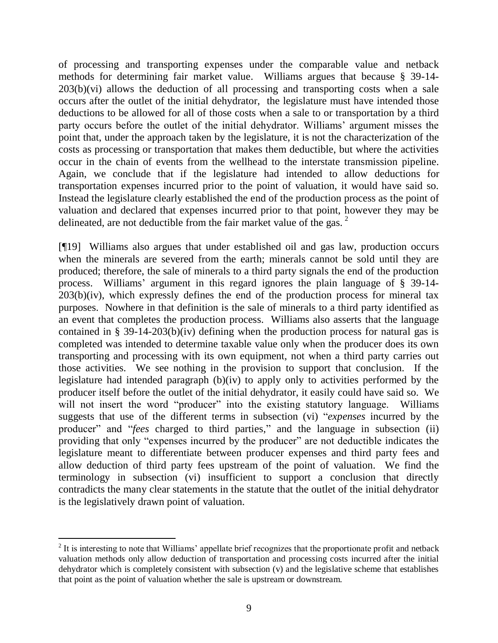of processing and transporting expenses under the comparable value and netback methods for determining fair market value. Williams argues that because § 39-14- 203(b)(vi) allows the deduction of all processing and transporting costs when a sale occurs after the outlet of the initial dehydrator, the legislature must have intended those deductions to be allowed for all of those costs when a sale to or transportation by a third party occurs before the outlet of the initial dehydrator. Williams' argument misses the point that, under the approach taken by the legislature, it is not the characterization of the costs as processing or transportation that makes them deductible, but where the activities occur in the chain of events from the wellhead to the interstate transmission pipeline. Again, we conclude that if the legislature had intended to allow deductions for transportation expenses incurred prior to the point of valuation, it would have said so. Instead the legislature clearly established the end of the production process as the point of valuation and declared that expenses incurred prior to that point, however they may be delineated, are not deductible from the fair market value of the gas.  $2^{\circ}$ 

[¶19] Williams also argues that under established oil and gas law, production occurs when the minerals are severed from the earth; minerals cannot be sold until they are produced; therefore, the sale of minerals to a third party signals the end of the production process. Williams' argument in this regard ignores the plain language of § 39-14-  $203(b)(iv)$ , which expressly defines the end of the production process for mineral tax purposes. Nowhere in that definition is the sale of minerals to a third party identified as an event that completes the production process. Williams also asserts that the language contained in § 39-14-203(b)(iv) defining when the production process for natural gas is completed was intended to determine taxable value only when the producer does its own transporting and processing with its own equipment, not when a third party carries out those activities. We see nothing in the provision to support that conclusion. If the legislature had intended paragraph (b)(iv) to apply only to activities performed by the producer itself before the outlet of the initial dehydrator, it easily could have said so. We will not insert the word "producer" into the existing statutory language. Williams suggests that use of the different terms in subsection (vi) "*expenses* incurred by the producer" and "*fees* charged to third parties," and the language in subsection (ii) providing that only "expenses incurred by the producer" are not deductible indicates the legislature meant to differentiate between producer expenses and third party fees and allow deduction of third party fees upstream of the point of valuation. We find the terminology in subsection (vi) insufficient to support a conclusion that directly contradicts the many clear statements in the statute that the outlet of the initial dehydrator is the legislatively drawn point of valuation.

 $\overline{a}$ 

 $2$  It is interesting to note that Williams' appellate brief recognizes that the proportionate profit and netback valuation methods only allow deduction of transportation and processing costs incurred after the initial dehydrator which is completely consistent with subsection (v) and the legislative scheme that establishes that point as the point of valuation whether the sale is upstream or downstream.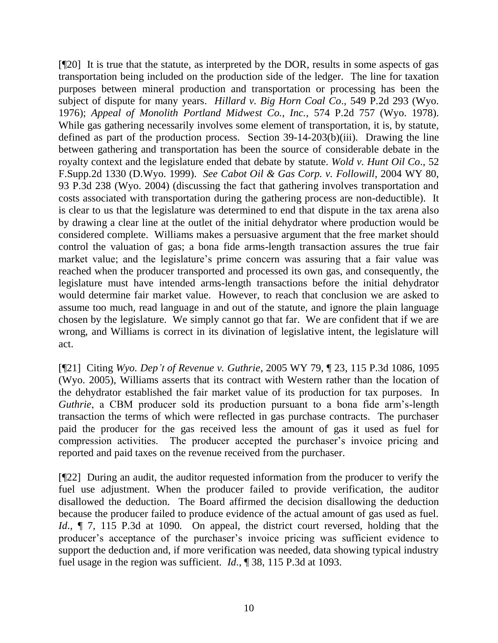[¶20] It is true that the statute, as interpreted by the DOR, results in some aspects of gas transportation being included on the production side of the ledger. The line for taxation purposes between mineral production and transportation or processing has been the subject of dispute for many years. *Hillard v. Big Horn Coal Co*., 549 P.2d 293 (Wyo. 1976); *Appeal of Monolith Portland Midwest Co., Inc.,* 574 P.2d 757 (Wyo. 1978). While gas gathering necessarily involves some element of transportation, it is, by statute, defined as part of the production process. Section 39-14-203(b)(iii). Drawing the line between gathering and transportation has been the source of considerable debate in the royalty context and the legislature ended that debate by statute. *Wold v. Hunt Oil Co*., 52 F.Supp.2d 1330 (D.Wyo. 1999). *See Cabot Oil & Gas Corp. v. Followill*, 2004 WY 80, 93 P.3d 238 (Wyo. 2004) (discussing the fact that gathering involves transportation and costs associated with transportation during the gathering process are non-deductible). It is clear to us that the legislature was determined to end that dispute in the tax arena also by drawing a clear line at the outlet of the initial dehydrator where production would be considered complete. Williams makes a persuasive argument that the free market should control the valuation of gas; a bona fide arms-length transaction assures the true fair market value; and the legislature's prime concern was assuring that a fair value was reached when the producer transported and processed its own gas, and consequently, the legislature must have intended arms-length transactions before the initial dehydrator would determine fair market value. However, to reach that conclusion we are asked to assume too much, read language in and out of the statute, and ignore the plain language chosen by the legislature. We simply cannot go that far. We are confident that if we are wrong, and Williams is correct in its divination of legislative intent, the legislature will act.

[¶21] Citing *Wyo. Dep't of Revenue v. Guthrie*, 2005 WY 79, ¶ 23, 115 P.3d 1086, 1095 (Wyo. 2005), Williams asserts that its contract with Western rather than the location of the dehydrator established the fair market value of its production for tax purposes. In *Guthrie*, a CBM producer sold its production pursuant to a bona fide arm's-length transaction the terms of which were reflected in gas purchase contracts. The purchaser paid the producer for the gas received less the amount of gas it used as fuel for compression activities. The producer accepted the purchaser's invoice pricing and reported and paid taxes on the revenue received from the purchaser.

[¶22] During an audit, the auditor requested information from the producer to verify the fuel use adjustment. When the producer failed to provide verification, the auditor disallowed the deduction. The Board affirmed the decision disallowing the deduction because the producer failed to produce evidence of the actual amount of gas used as fuel. *Id.*,  $\P$  7, 115 P.3d at 1090. On appeal, the district court reversed, holding that the producer's acceptance of the purchaser's invoice pricing was sufficient evidence to support the deduction and, if more verification was needed, data showing typical industry fuel usage in the region was sufficient. *Id*., ¶ 38, 115 P.3d at 1093.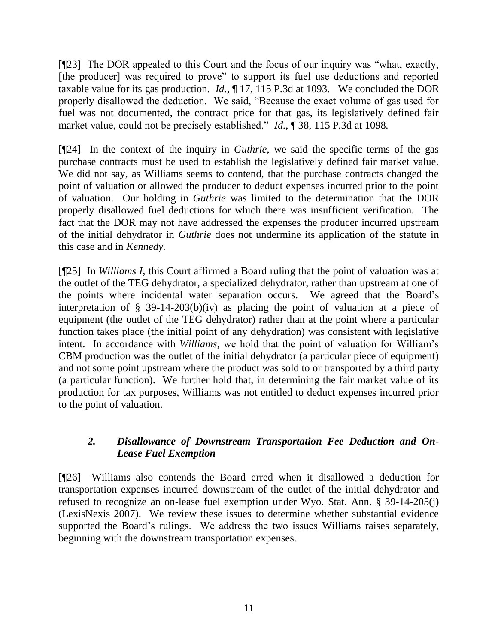[¶23] The DOR appealed to this Court and the focus of our inquiry was "what, exactly, [the producer] was required to prove" to support its fuel use deductions and reported taxable value for its gas production. *Id*., ¶ 17, 115 P.3d at 1093. We concluded the DOR properly disallowed the deduction. We said, "Because the exact volume of gas used for fuel was not documented, the contract price for that gas, its legislatively defined fair market value, could not be precisely established." *Id*., ¶ 38, 115 P.3d at 1098.

[¶24] In the context of the inquiry in *Guthrie*, we said the specific terms of the gas purchase contracts must be used to establish the legislatively defined fair market value. We did not say, as Williams seems to contend, that the purchase contracts changed the point of valuation or allowed the producer to deduct expenses incurred prior to the point of valuation. Our holding in *Guthrie* was limited to the determination that the DOR properly disallowed fuel deductions for which there was insufficient verification. The fact that the DOR may not have addressed the expenses the producer incurred upstream of the initial dehydrator in *Guthrie* does not undermine its application of the statute in this case and in *Kennedy.*

[¶25] In *Williams I,* this Court affirmed a Board ruling that the point of valuation was at the outlet of the TEG dehydrator, a specialized dehydrator, rather than upstream at one of the points where incidental water separation occurs. We agreed that the Board's interpretation of § 39-14-203(b)(iv) as placing the point of valuation at a piece of equipment (the outlet of the TEG dehydrator) rather than at the point where a particular function takes place (the initial point of any dehydration) was consistent with legislative intent. In accordance with *Williams,* we hold that the point of valuation for William's CBM production was the outlet of the initial dehydrator (a particular piece of equipment) and not some point upstream where the product was sold to or transported by a third party (a particular function). We further hold that, in determining the fair market value of its production for tax purposes, Williams was not entitled to deduct expenses incurred prior to the point of valuation.

# *2. Disallowance of Downstream Transportation Fee Deduction and On-Lease Fuel Exemption*

[¶26] Williams also contends the Board erred when it disallowed a deduction for transportation expenses incurred downstream of the outlet of the initial dehydrator and refused to recognize an on-lease fuel exemption under Wyo. Stat. Ann. § 39-14-205(j) (LexisNexis 2007). We review these issues to determine whether substantial evidence supported the Board's rulings. We address the two issues Williams raises separately, beginning with the downstream transportation expenses.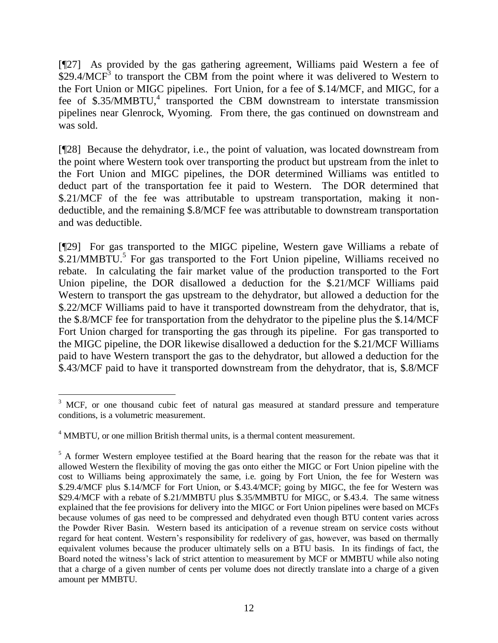[¶27] As provided by the gas gathering agreement, Williams paid Western a fee of  $$29.4/MCF<sup>3</sup>$  to transport the CBM from the point where it was delivered to Western to the Fort Union or MIGC pipelines. Fort Union, for a fee of \$.14/MCF, and MIGC, for a fee of  $$.35/MMBTU,4$  transported the CBM downstream to interstate transmission pipelines near Glenrock, Wyoming. From there, the gas continued on downstream and was sold.

[¶28] Because the dehydrator, i.e., the point of valuation, was located downstream from the point where Western took over transporting the product but upstream from the inlet to the Fort Union and MIGC pipelines, the DOR determined Williams was entitled to deduct part of the transportation fee it paid to Western. The DOR determined that \$.21/MCF of the fee was attributable to upstream transportation, making it nondeductible, and the remaining \$.8/MCF fee was attributable to downstream transportation and was deductible.

[¶29] For gas transported to the MIGC pipeline, Western gave Williams a rebate of \$.21/MMBTU.<sup>5</sup> For gas transported to the Fort Union pipeline, Williams received no rebate. In calculating the fair market value of the production transported to the Fort Union pipeline, the DOR disallowed a deduction for the \$.21/MCF Williams paid Western to transport the gas upstream to the dehydrator, but allowed a deduction for the \$.22/MCF Williams paid to have it transported downstream from the dehydrator, that is, the \$.8/MCF fee for transportation from the dehydrator to the pipeline plus the \$.14/MCF Fort Union charged for transporting the gas through its pipeline. For gas transported to the MIGC pipeline, the DOR likewise disallowed a deduction for the \$.21/MCF Williams paid to have Western transport the gas to the dehydrator, but allowed a deduction for the \$.43/MCF paid to have it transported downstream from the dehydrator, that is, \$.8/MCF

 $\overline{a}$ <sup>3</sup> MCF, or one thousand cubic feet of natural gas measured at standard pressure and temperature conditions, is a volumetric measurement.

<sup>&</sup>lt;sup>4</sup> MMBTU, or one million British thermal units, is a thermal content measurement.

<sup>&</sup>lt;sup>5</sup> A former Western employee testified at the Board hearing that the reason for the rebate was that it allowed Western the flexibility of moving the gas onto either the MIGC or Fort Union pipeline with the cost to Williams being approximately the same, i.e. going by Fort Union, the fee for Western was \$.29.4/MCF plus \$.14/MCF for Fort Union, or \$.43.4/MCF; going by MIGC, the fee for Western was \$29.4/MCF with a rebate of \$.21/MMBTU plus \$.35/MMBTU for MIGC, or \$.43.4. The same witness explained that the fee provisions for delivery into the MIGC or Fort Union pipelines were based on MCFs because volumes of gas need to be compressed and dehydrated even though BTU content varies across the Powder River Basin. Western based its anticipation of a revenue stream on service costs without regard for heat content. Western's responsibility for redelivery of gas, however, was based on thermally equivalent volumes because the producer ultimately sells on a BTU basis. In its findings of fact, the Board noted the witness's lack of strict attention to measurement by MCF or MMBTU while also noting that a charge of a given number of cents per volume does not directly translate into a charge of a given amount per MMBTU.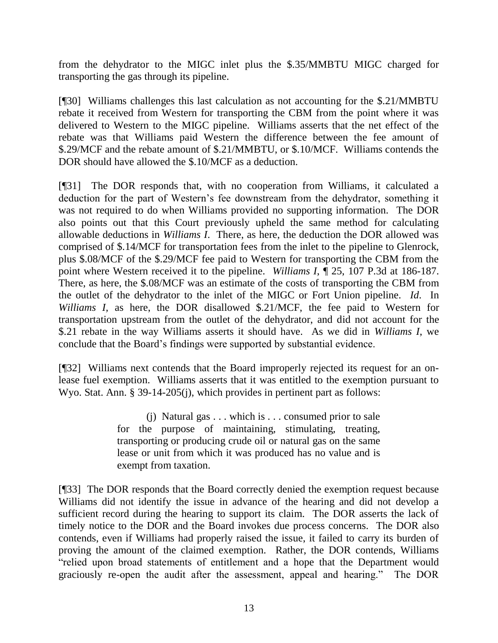from the dehydrator to the MIGC inlet plus the \$.35/MMBTU MIGC charged for transporting the gas through its pipeline.

[¶30] Williams challenges this last calculation as not accounting for the \$.21/MMBTU rebate it received from Western for transporting the CBM from the point where it was delivered to Western to the MIGC pipeline. Williams asserts that the net effect of the rebate was that Williams paid Western the difference between the fee amount of \$.29/MCF and the rebate amount of \$.21/MMBTU, or \$.10/MCF. Williams contends the DOR should have allowed the \$.10/MCF as a deduction.

[¶31] The DOR responds that, with no cooperation from Williams, it calculated a deduction for the part of Western's fee downstream from the dehydrator, something it was not required to do when Williams provided no supporting information. The DOR also points out that this Court previously upheld the same method for calculating allowable deductions in *Williams I*. There, as here, the deduction the DOR allowed was comprised of \$.14/MCF for transportation fees from the inlet to the pipeline to Glenrock, plus \$.08/MCF of the \$.29/MCF fee paid to Western for transporting the CBM from the point where Western received it to the pipeline. *Williams I*, ¶ 25, 107 P.3d at 186-187. There, as here, the \$.08/MCF was an estimate of the costs of transporting the CBM from the outlet of the dehydrator to the inlet of the MIGC or Fort Union pipeline. *Id*. In *Williams I,* as here, the DOR disallowed \$.21/MCF, the fee paid to Western for transportation upstream from the outlet of the dehydrator, and did not account for the \$.21 rebate in the way Williams asserts it should have. As we did in *Williams I*, we conclude that the Board's findings were supported by substantial evidence.

[¶32] Williams next contends that the Board improperly rejected its request for an onlease fuel exemption. Williams asserts that it was entitled to the exemption pursuant to Wyo. Stat. Ann. § 39-14-205(j), which provides in pertinent part as follows:

> (j) Natural gas . . . which is . . . consumed prior to sale for the purpose of maintaining, stimulating, treating, transporting or producing crude oil or natural gas on the same lease or unit from which it was produced has no value and is exempt from taxation.

[¶33] The DOR responds that the Board correctly denied the exemption request because Williams did not identify the issue in advance of the hearing and did not develop a sufficient record during the hearing to support its claim. The DOR asserts the lack of timely notice to the DOR and the Board invokes due process concerns. The DOR also contends, even if Williams had properly raised the issue, it failed to carry its burden of proving the amount of the claimed exemption. Rather, the DOR contends, Williams "relied upon broad statements of entitlement and a hope that the Department would graciously re-open the audit after the assessment, appeal and hearing." The DOR